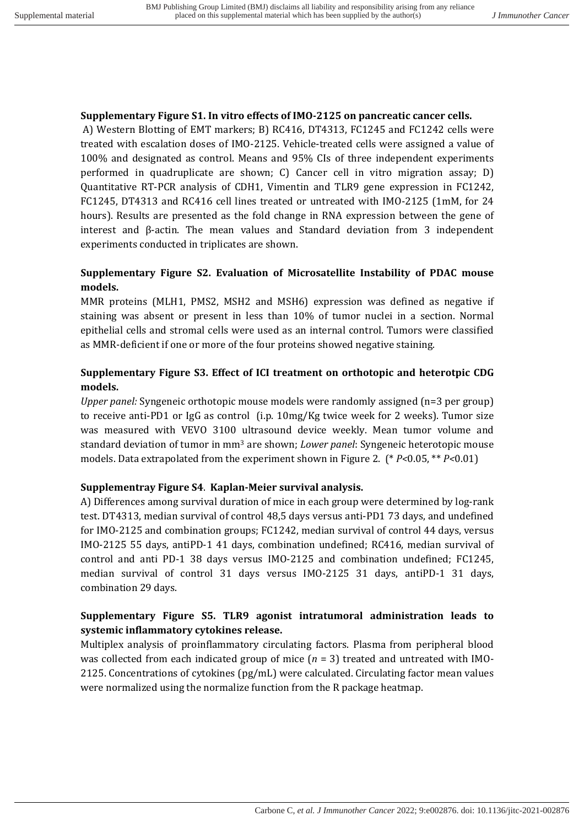#### **Supplementary Figure S1. In vitro effects of IMO-2125 on pancreatic cancer cells.**

A) Western Blotting of EMT markers; B) RC416, DT4313, FC1245 and FC1242 cells were treated with escalation doses of IMO-2125. Vehicle-treated cells were assigned a value of 100% and designated as control. Means and 95% CIs of three independent experiments performed in quadruplicate are shown; C) Cancer cell in vitro migration assay; D) Quantitative RT-PCR analysis of CDH1, Vimentin and TLR9 gene expression in FC1242, FC1245, DT4313 and RC416 cell lines treated or untreated with IMO-2125 (1mM, for 24 hours). Results are presented as the fold change in RNA expression between the gene of interest and  $\beta$ -actin. The mean values and Standard deviation from 3 independent experiments conducted in triplicates are shown.

# **Supplementary Figure S2. Evaluation of Microsatellite Instability of PDAC mouse models.**

MMR proteins (MLH1, PMS2, MSH2 and MSH6) expression was defined as negative if staining was absent or present in less than 10% of tumor nuclei in a section. Normal epithelial cells and stromal cells were used as an internal control. Tumors were classified as MMR-deficient if one or more of the four proteins showed negative staining.

# **Supplementary Figure S3. Effect of ICI treatment on orthotopic and heterotpic CDG models.**

*Upper panel:* Syngeneic orthotopic mouse models were randomly assigned (n=3 per group) to receive anti-PD1 or  $I_{\text{gG}}$  as control (i.p. 10mg/Kg twice week for 2 weeks). Tumor size was measured with VEVO 3100 ultrasound device weekly. Mean tumor volume and standard deviation of tumor in mm<sup>3</sup> are shown; *Lower panel*: Syngeneic heterotopic mouse models. Data extrapolated from the experiment shown in Figure 2. (\* *P*<0.05, \*\* *P*<0.01)

### **Supplementray Figure S4**. **Kaplan-Meier survival analysis.**

A) Differences among survival duration of mice in each group were determined by log-rank test. DT4313, median survival of control 48,5 days versus anti-PD1 73 days, and undefined for IMO-2125 and combination groups; FC1242, median survival of control 44 days, versus IMO-2125 55 days, antiPD-1 41 days, combination undefined; RC416, median survival of control and anti PD-1 38 days versus IMO-2125 and combination undefined; FC1245, median survival of control 31 days versus IMO-2125 31 days, antiPD-1 31 days, combination 29 days.

# **Supplementary Figure S5. TLR9 agonist intratumoral administration leads to** systemic inflammatory cytokines release.

Multiplex analysis of proinflammatory circulating factors. Plasma from peripheral blood was collected from each indicated group of mice  $(n = 3)$  treated and untreated with IMO-2125. Concentrations of cytokines  $\frac{\log_{10}}{\log_{10}}$  were calculated. Circulating factor mean values were normalized using the normalize function from the R package heatmap.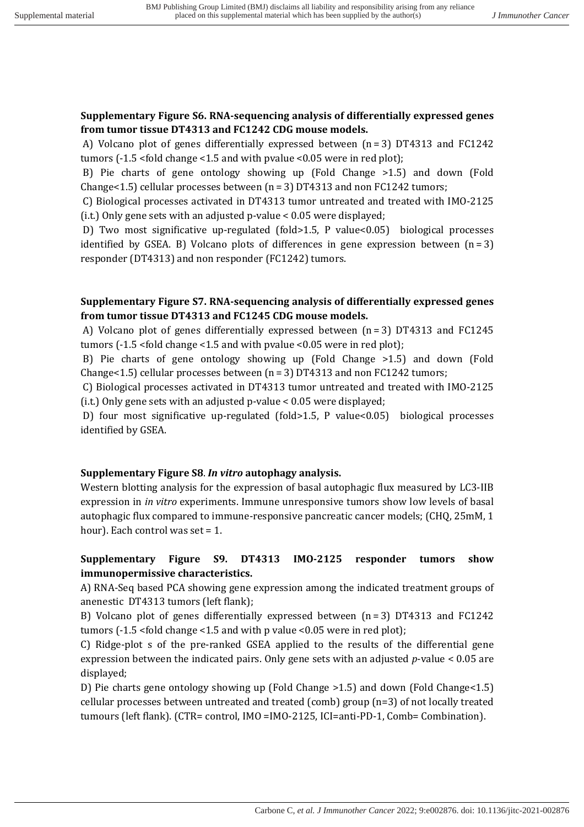### **Supplementary Figure S6. RNA-sequencing analysis of differentially expressed genes** from tumor tissue DT4313 and FC1242 CDG mouse models.

A) Volcano plot of genes differentially expressed between  $(n=3)$  DT4313 and FC1242 tumors  $(-1.5 \times 6)$ d change  $\le 1.5$  and with pvalue  $\le 0.05$  were in red plot);

B) Pie charts of gene ontology showing up (Fold Change  $>1.5$ ) and down (Fold Change<1.5) cellular processes between  $(n = 3)$  DT4313 and non FC1242 tumors;

C) Biological processes activated in DT4313 tumor untreated and treated with IMO-2125 (i.t.) Only gene sets with an adjusted  $p$ -value < 0.05 were displayed;

D) Two most significative up-regulated (fold>1.5, P value<0.05) biological processes identified by GSEA. B) Volcano plots of differences in gene expression between  $(n=3)$ responder (DT4313) and non responder (FC1242) tumors.

## **Supplementary Figure S7. RNA-sequencing analysis of differentially expressed genes** from tumor tissue DT4313 and FC1245 CDG mouse models.

A) Volcano plot of genes differentially expressed between  $(n=3)$  DT4313 and FC1245 tumors  $(-1.5 \times 10^{14} \text{ change} \times 1.5 \text{ and with pvalue} \times 0.05 \text{ were in red plot})$ ;

B) Pie charts of gene ontology showing up (Fold Change >1.5) and down (Fold Change<1.5) cellular processes between  $(n = 3)$  DT4313 and non FC1242 tumors;

C) Biological processes activated in DT4313 tumor untreated and treated with IMO-2125 (i.t.) Only gene sets with an adjusted  $p$ -value < 0.05 were displayed;

D) four most significative up-regulated (fold>1.5, P value<0.05) biological processes identified by GSEA.

### **Supplementary Figure S8**. *In vitro* **autophagy analysis.**

Western blotting analysis for the expression of basal autophagic flux measured by LC3-IIB expression in *in vitro* experiments. Immune unresponsive tumors show low levels of basal autophagic flux compared to immune-responsive pancreatic cancer models; (CHQ, 25mM, 1) hour). Each control was set  $= 1$ .

## **Supplementary Figure S9. DT4313 IMO-2125 responder tumors show immunopermissive characteristics.**

A) RNA-Seq based PCA showing gene expression among the indicated treatment groups of anenestic DT4313 tumors (left flank);

B) Volcano plot of genes differentially expressed between  $(n=3)$  DT4313 and FC1242 tumors  $(-1.5 \times 6)$ d change  $\le 1.5$  and with p value  $\le 0.05$  were in red plot);

C) Ridge-plot s of the pre-ranked GSEA applied to the results of the differential gene expression between the indicated pairs. Only gene sets with an adjusted  $p$ -value <  $0.05$  are displayed;

D) Pie charts gene ontology showing up (Fold Change  $>1.5$ ) and down (Fold Change $<1.5$ ) cellular processes between untreated and treated  $(comb)$  group  $(n=3)$  of not locally treated tumours (left flank). (CTR= control, IMO =IMO-2125, ICI=anti-PD-1, Comb= Combination).